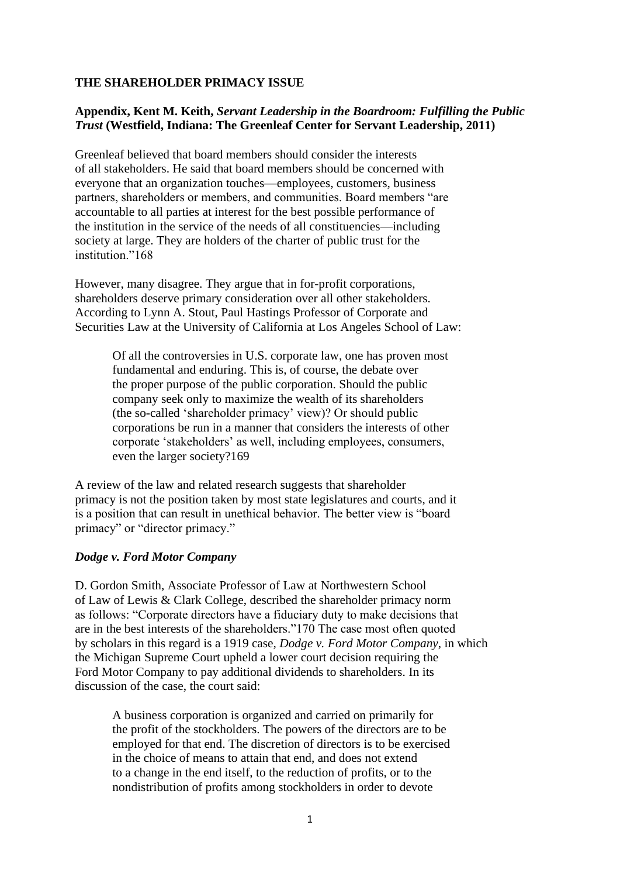## **THE SHAREHOLDER PRIMACY ISSUE**

# **Appendix, Kent M. Keith,** *Servant Leadership in the Boardroom: Fulfilling the Public Trust* **(Westfield, Indiana: The Greenleaf Center for Servant Leadership, 2011)**

Greenleaf believed that board members should consider the interests of all stakeholders. He said that board members should be concerned with everyone that an organization touches—employees, customers, business partners, shareholders or members, and communities. Board members "are accountable to all parties at interest for the best possible performance of the institution in the service of the needs of all constituencies—including society at large. They are holders of the charter of public trust for the institution."168

However, many disagree. They argue that in for-profit corporations, shareholders deserve primary consideration over all other stakeholders. According to Lynn A. Stout, Paul Hastings Professor of Corporate and Securities Law at the University of California at Los Angeles School of Law:

Of all the controversies in U.S. corporate law, one has proven most fundamental and enduring. This is, of course, the debate over the proper purpose of the public corporation. Should the public company seek only to maximize the wealth of its shareholders (the so-called 'shareholder primacy' view)? Or should public corporations be run in a manner that considers the interests of other corporate 'stakeholders' as well, including employees, consumers, even the larger society?169

A review of the law and related research suggests that shareholder primacy is not the position taken by most state legislatures and courts, and it is a position that can result in unethical behavior. The better view is "board primacy" or "director primacy."

## *Dodge v. Ford Motor Company*

D. Gordon Smith, Associate Professor of Law at Northwestern School of Law of Lewis & Clark College, described the shareholder primacy norm as follows: "Corporate directors have a fiduciary duty to make decisions that are in the best interests of the shareholders."170 The case most often quoted by scholars in this regard is a 1919 case, *Dodge v. Ford Motor Company*, in which the Michigan Supreme Court upheld a lower court decision requiring the Ford Motor Company to pay additional dividends to shareholders. In its discussion of the case, the court said:

A business corporation is organized and carried on primarily for the profit of the stockholders. The powers of the directors are to be employed for that end. The discretion of directors is to be exercised in the choice of means to attain that end, and does not extend to a change in the end itself, to the reduction of profits, or to the nondistribution of profits among stockholders in order to devote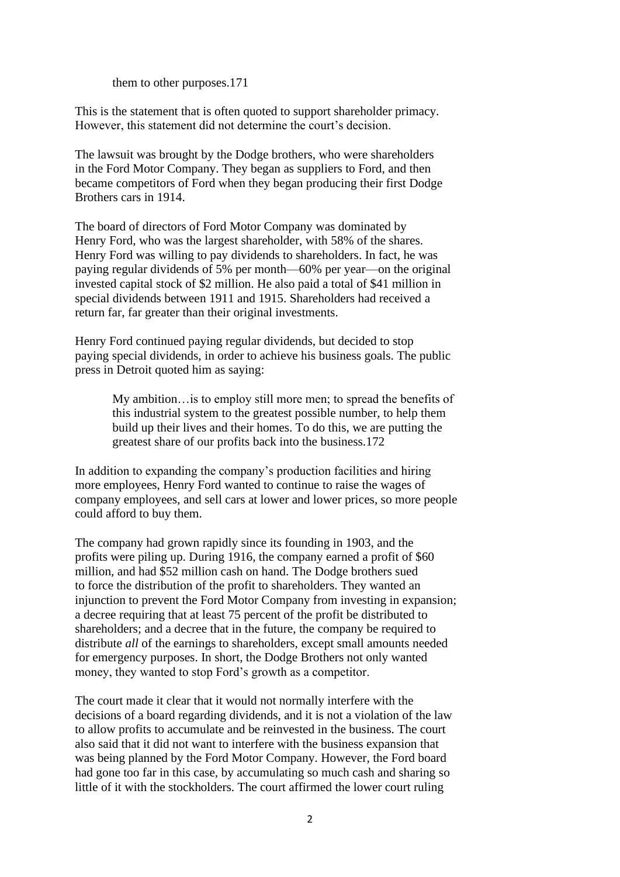them to other purposes.171

This is the statement that is often quoted to support shareholder primacy. However, this statement did not determine the court's decision.

The lawsuit was brought by the Dodge brothers, who were shareholders in the Ford Motor Company. They began as suppliers to Ford, and then became competitors of Ford when they began producing their first Dodge Brothers cars in 1914.

The board of directors of Ford Motor Company was dominated by Henry Ford, who was the largest shareholder, with 58% of the shares. Henry Ford was willing to pay dividends to shareholders. In fact, he was paying regular dividends of 5% per month—60% per year—on the original invested capital stock of \$2 million. He also paid a total of \$41 million in special dividends between 1911 and 1915. Shareholders had received a return far, far greater than their original investments.

Henry Ford continued paying regular dividends, but decided to stop paying special dividends, in order to achieve his business goals. The public press in Detroit quoted him as saying:

My ambition…is to employ still more men; to spread the benefits of this industrial system to the greatest possible number, to help them build up their lives and their homes. To do this, we are putting the greatest share of our profits back into the business.172

In addition to expanding the company's production facilities and hiring more employees, Henry Ford wanted to continue to raise the wages of company employees, and sell cars at lower and lower prices, so more people could afford to buy them.

The company had grown rapidly since its founding in 1903, and the profits were piling up. During 1916, the company earned a profit of \$60 million, and had \$52 million cash on hand. The Dodge brothers sued to force the distribution of the profit to shareholders. They wanted an injunction to prevent the Ford Motor Company from investing in expansion; a decree requiring that at least 75 percent of the profit be distributed to shareholders; and a decree that in the future, the company be required to distribute *all* of the earnings to shareholders, except small amounts needed for emergency purposes. In short, the Dodge Brothers not only wanted money, they wanted to stop Ford's growth as a competitor.

The court made it clear that it would not normally interfere with the decisions of a board regarding dividends, and it is not a violation of the law to allow profits to accumulate and be reinvested in the business. The court also said that it did not want to interfere with the business expansion that was being planned by the Ford Motor Company. However, the Ford board had gone too far in this case, by accumulating so much cash and sharing so little of it with the stockholders. The court affirmed the lower court ruling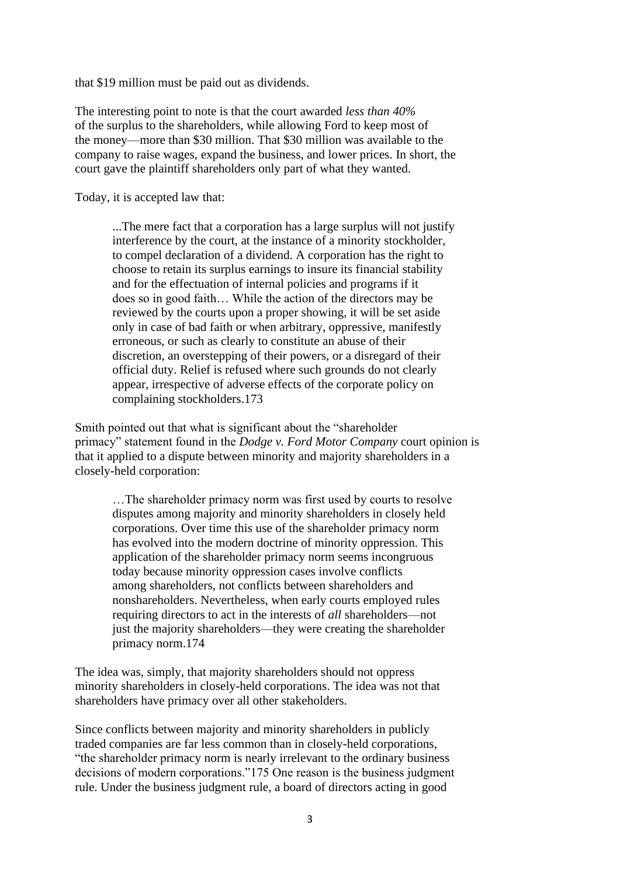that \$19 million must be paid out as dividends.

The interesting point to note is that the court awarded *less than 40%* of the surplus to the shareholders, while allowing Ford to keep most of the money—more than \$30 million. That \$30 million was available to the company to raise wages, expand the business, and lower prices. In short, the court gave the plaintiff shareholders only part of what they wanted.

Today, it is accepted law that:

...The mere fact that a corporation has a large surplus will not justify interference by the court, at the instance of a minority stockholder, to compel declaration of a dividend. A corporation has the right to choose to retain its surplus earnings to insure its financial stability and for the effectuation of internal policies and programs if it does so in good faith… While the action of the directors may be reviewed by the courts upon a proper showing, it will be set aside only in case of bad faith or when arbitrary, oppressive, manifestly erroneous, or such as clearly to constitute an abuse of their discretion, an overstepping of their powers, or a disregard of their official duty. Relief is refused where such grounds do not clearly appear, irrespective of adverse effects of the corporate policy on complaining stockholders.173

Smith pointed out that what is significant about the "shareholder primacy" statement found in the *Dodge v. Ford Motor Company* court opinion is that it applied to a dispute between minority and majority shareholders in a closely-held corporation:

…The shareholder primacy norm was first used by courts to resolve disputes among majority and minority shareholders in closely held corporations. Over time this use of the shareholder primacy norm has evolved into the modern doctrine of minority oppression. This application of the shareholder primacy norm seems incongruous today because minority oppression cases involve conflicts among shareholders, not conflicts between shareholders and nonshareholders. Nevertheless, when early courts employed rules requiring directors to act in the interests of *all* shareholders—not just the majority shareholders—they were creating the shareholder primacy norm.174

The idea was, simply, that majority shareholders should not oppress minority shareholders in closely-held corporations. The idea was not that shareholders have primacy over all other stakeholders.

Since conflicts between majority and minority shareholders in publicly traded companies are far less common than in closely-held corporations, "the shareholder primacy norm is nearly irrelevant to the ordinary business decisions of modern corporations."175 One reason is the business judgment rule. Under the business judgment rule, a board of directors acting in good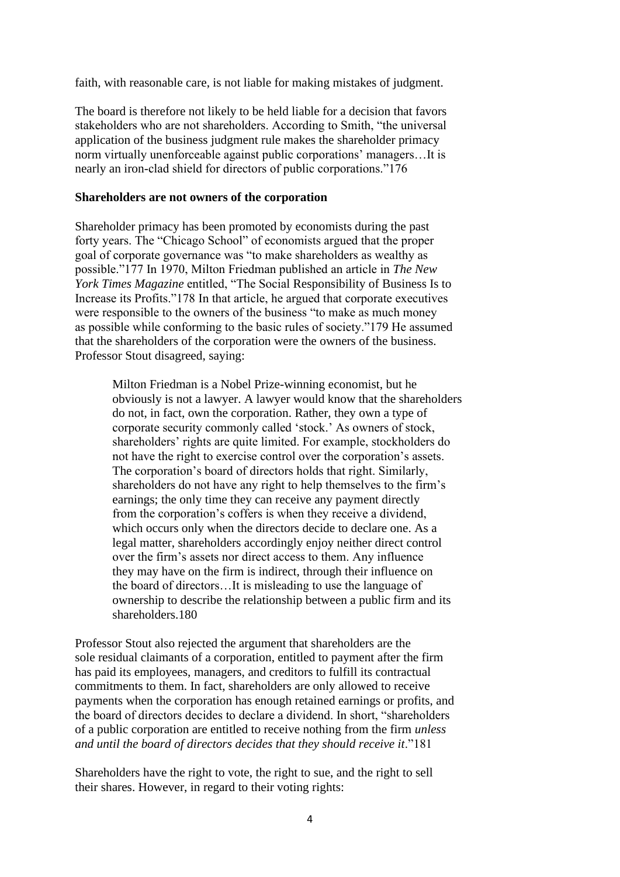faith, with reasonable care, is not liable for making mistakes of judgment.

The board is therefore not likely to be held liable for a decision that favors stakeholders who are not shareholders. According to Smith, "the universal application of the business judgment rule makes the shareholder primacy norm virtually unenforceable against public corporations' managers…It is nearly an iron-clad shield for directors of public corporations."176

#### **Shareholders are not owners of the corporation**

Shareholder primacy has been promoted by economists during the past forty years. The "Chicago School" of economists argued that the proper goal of corporate governance was "to make shareholders as wealthy as possible."177 In 1970, Milton Friedman published an article in *The New York Times Magazine* entitled, "The Social Responsibility of Business Is to Increase its Profits."178 In that article, he argued that corporate executives were responsible to the owners of the business "to make as much money as possible while conforming to the basic rules of society."179 He assumed that the shareholders of the corporation were the owners of the business. Professor Stout disagreed, saying:

Milton Friedman is a Nobel Prize-winning economist, but he obviously is not a lawyer. A lawyer would know that the shareholders do not, in fact, own the corporation. Rather, they own a type of corporate security commonly called 'stock.' As owners of stock, shareholders' rights are quite limited. For example, stockholders do not have the right to exercise control over the corporation's assets. The corporation's board of directors holds that right. Similarly, shareholders do not have any right to help themselves to the firm's earnings; the only time they can receive any payment directly from the corporation's coffers is when they receive a dividend, which occurs only when the directors decide to declare one. As a legal matter, shareholders accordingly enjoy neither direct control over the firm's assets nor direct access to them. Any influence they may have on the firm is indirect, through their influence on the board of directors…It is misleading to use the language of ownership to describe the relationship between a public firm and its shareholders.180

Professor Stout also rejected the argument that shareholders are the sole residual claimants of a corporation, entitled to payment after the firm has paid its employees, managers, and creditors to fulfill its contractual commitments to them. In fact, shareholders are only allowed to receive payments when the corporation has enough retained earnings or profits, and the board of directors decides to declare a dividend. In short, "shareholders of a public corporation are entitled to receive nothing from the firm *unless and until the board of directors decides that they should receive it*."181

Shareholders have the right to vote, the right to sue, and the right to sell their shares. However, in regard to their voting rights: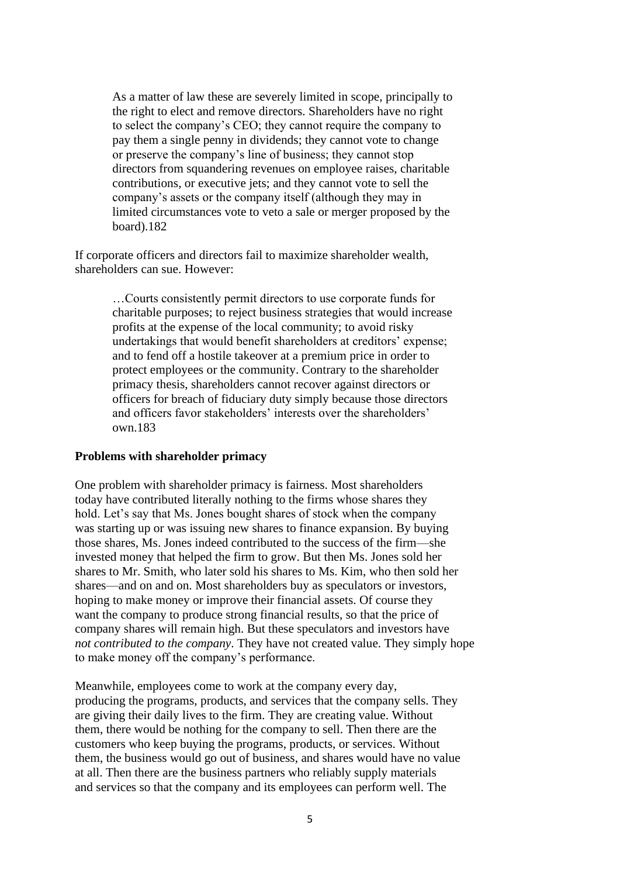As a matter of law these are severely limited in scope, principally to the right to elect and remove directors. Shareholders have no right to select the company's CEO; they cannot require the company to pay them a single penny in dividends; they cannot vote to change or preserve the company's line of business; they cannot stop directors from squandering revenues on employee raises, charitable contributions, or executive jets; and they cannot vote to sell the company's assets or the company itself (although they may in limited circumstances vote to veto a sale or merger proposed by the board).182

If corporate officers and directors fail to maximize shareholder wealth, shareholders can sue. However:

> …Courts consistently permit directors to use corporate funds for charitable purposes; to reject business strategies that would increase profits at the expense of the local community; to avoid risky undertakings that would benefit shareholders at creditors' expense; and to fend off a hostile takeover at a premium price in order to protect employees or the community. Contrary to the shareholder primacy thesis, shareholders cannot recover against directors or officers for breach of fiduciary duty simply because those directors and officers favor stakeholders' interests over the shareholders' own.183

#### **Problems with shareholder primacy**

One problem with shareholder primacy is fairness. Most shareholders today have contributed literally nothing to the firms whose shares they hold. Let's say that Ms. Jones bought shares of stock when the company was starting up or was issuing new shares to finance expansion. By buying those shares, Ms. Jones indeed contributed to the success of the firm—she invested money that helped the firm to grow. But then Ms. Jones sold her shares to Mr. Smith, who later sold his shares to Ms. Kim, who then sold her shares—and on and on. Most shareholders buy as speculators or investors, hoping to make money or improve their financial assets. Of course they want the company to produce strong financial results, so that the price of company shares will remain high. But these speculators and investors have *not contributed to the company*. They have not created value. They simply hope to make money off the company's performance.

Meanwhile, employees come to work at the company every day, producing the programs, products, and services that the company sells. They are giving their daily lives to the firm. They are creating value. Without them, there would be nothing for the company to sell. Then there are the customers who keep buying the programs, products, or services. Without them, the business would go out of business, and shares would have no value at all. Then there are the business partners who reliably supply materials and services so that the company and its employees can perform well. The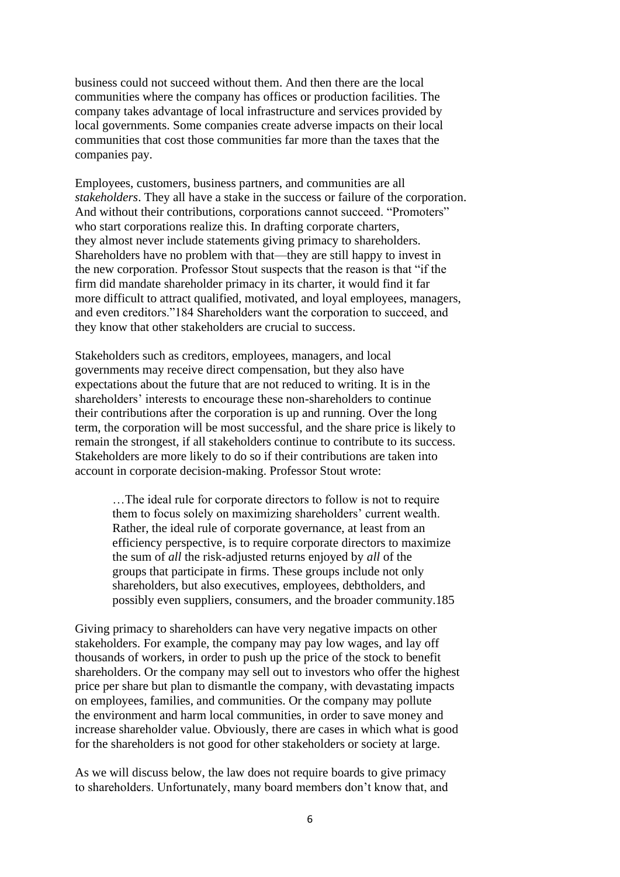business could not succeed without them. And then there are the local communities where the company has offices or production facilities. The company takes advantage of local infrastructure and services provided by local governments. Some companies create adverse impacts on their local communities that cost those communities far more than the taxes that the companies pay.

Employees, customers, business partners, and communities are all *stakeholders*. They all have a stake in the success or failure of the corporation. And without their contributions, corporations cannot succeed. "Promoters" who start corporations realize this. In drafting corporate charters, they almost never include statements giving primacy to shareholders. Shareholders have no problem with that—they are still happy to invest in the new corporation. Professor Stout suspects that the reason is that "if the firm did mandate shareholder primacy in its charter, it would find it far more difficult to attract qualified, motivated, and loyal employees, managers, and even creditors."184 Shareholders want the corporation to succeed, and they know that other stakeholders are crucial to success.

Stakeholders such as creditors, employees, managers, and local governments may receive direct compensation, but they also have expectations about the future that are not reduced to writing. It is in the shareholders' interests to encourage these non-shareholders to continue their contributions after the corporation is up and running. Over the long term, the corporation will be most successful, and the share price is likely to remain the strongest, if all stakeholders continue to contribute to its success. Stakeholders are more likely to do so if their contributions are taken into account in corporate decision-making. Professor Stout wrote:

…The ideal rule for corporate directors to follow is not to require them to focus solely on maximizing shareholders' current wealth. Rather, the ideal rule of corporate governance, at least from an efficiency perspective, is to require corporate directors to maximize the sum of *all* the risk-adjusted returns enjoyed by *all* of the groups that participate in firms. These groups include not only shareholders, but also executives, employees, debtholders, and possibly even suppliers, consumers, and the broader community.185

Giving primacy to shareholders can have very negative impacts on other stakeholders. For example, the company may pay low wages, and lay off thousands of workers, in order to push up the price of the stock to benefit shareholders. Or the company may sell out to investors who offer the highest price per share but plan to dismantle the company, with devastating impacts on employees, families, and communities. Or the company may pollute the environment and harm local communities, in order to save money and increase shareholder value. Obviously, there are cases in which what is good for the shareholders is not good for other stakeholders or society at large.

As we will discuss below, the law does not require boards to give primacy to shareholders. Unfortunately, many board members don't know that, and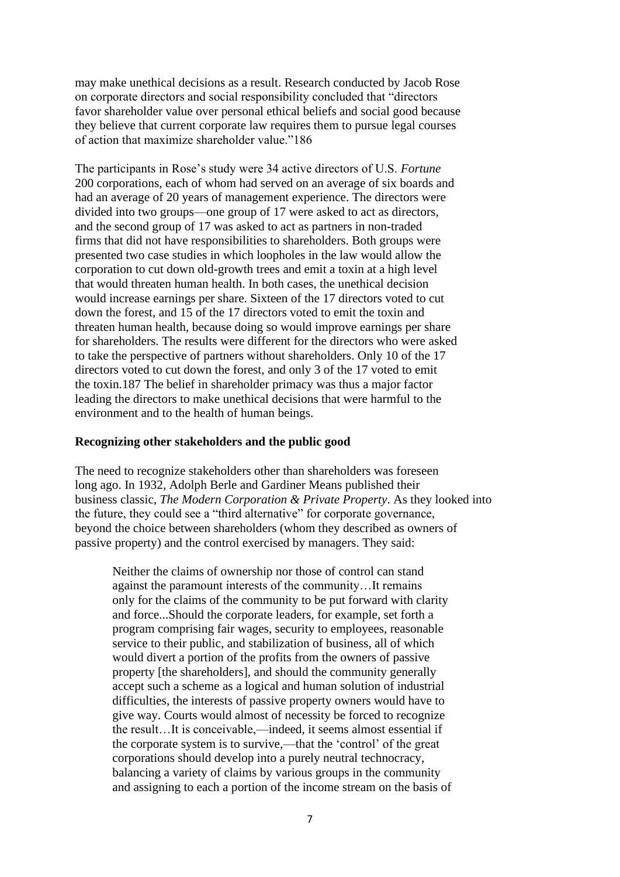may make unethical decisions as a result. Research conducted by Jacob Rose on corporate directors and social responsibility concluded that "directors favor shareholder value over personal ethical beliefs and social good because they believe that current corporate law requires them to pursue legal courses of action that maximize shareholder value."186

The participants in Rose's study were 34 active directors of U.S. *Fortune* 200 corporations, each of whom had served on an average of six boards and had an average of 20 years of management experience. The directors were divided into two groups—one group of 17 were asked to act as directors, and the second group of 17 was asked to act as partners in non-traded firms that did not have responsibilities to shareholders. Both groups were presented two case studies in which loopholes in the law would allow the corporation to cut down old-growth trees and emit a toxin at a high level that would threaten human health. In both cases, the unethical decision would increase earnings per share. Sixteen of the 17 directors voted to cut down the forest, and 15 of the 17 directors voted to emit the toxin and threaten human health, because doing so would improve earnings per share for shareholders. The results were different for the directors who were asked to take the perspective of partners without shareholders. Only 10 of the 17 directors voted to cut down the forest, and only 3 of the 17 voted to emit the toxin.187 The belief in shareholder primacy was thus a major factor leading the directors to make unethical decisions that were harmful to the environment and to the health of human beings.

#### **Recognizing other stakeholders and the public good**

The need to recognize stakeholders other than shareholders was foreseen long ago. In 1932, Adolph Berle and Gardiner Means published their business classic, *The Modern Corporation & Private Property*. As they looked into the future, they could see a "third alternative" for corporate governance, beyond the choice between shareholders (whom they described as owners of passive property) and the control exercised by managers. They said:

Neither the claims of ownership nor those of control can stand against the paramount interests of the community…It remains only for the claims of the community to be put forward with clarity and force...Should the corporate leaders, for example, set forth a program comprising fair wages, security to employees, reasonable service to their public, and stabilization of business, all of which would divert a portion of the profits from the owners of passive property [the shareholders], and should the community generally accept such a scheme as a logical and human solution of industrial difficulties, the interests of passive property owners would have to give way. Courts would almost of necessity be forced to recognize the result…It is conceivable,—indeed, it seems almost essential if the corporate system is to survive,—that the 'control' of the great corporations should develop into a purely neutral technocracy, balancing a variety of claims by various groups in the community and assigning to each a portion of the income stream on the basis of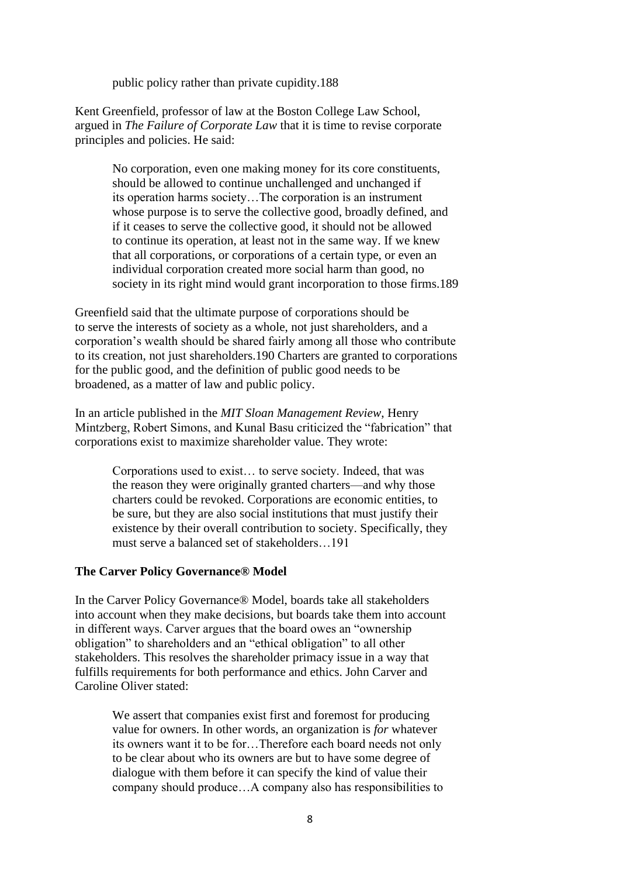public policy rather than private cupidity.188

Kent Greenfield, professor of law at the Boston College Law School, argued in *The Failure of Corporate Law* that it is time to revise corporate principles and policies. He said:

> No corporation, even one making money for its core constituents, should be allowed to continue unchallenged and unchanged if its operation harms society…The corporation is an instrument whose purpose is to serve the collective good, broadly defined, and if it ceases to serve the collective good, it should not be allowed to continue its operation, at least not in the same way. If we knew that all corporations, or corporations of a certain type, or even an individual corporation created more social harm than good, no society in its right mind would grant incorporation to those firms.189

Greenfield said that the ultimate purpose of corporations should be to serve the interests of society as a whole, not just shareholders, and a corporation's wealth should be shared fairly among all those who contribute to its creation, not just shareholders.190 Charters are granted to corporations for the public good, and the definition of public good needs to be broadened, as a matter of law and public policy.

In an article published in the *MIT Sloan Management Review*, Henry Mintzberg, Robert Simons, and Kunal Basu criticized the "fabrication" that corporations exist to maximize shareholder value. They wrote:

Corporations used to exist… to serve society. Indeed, that was the reason they were originally granted charters—and why those charters could be revoked. Corporations are economic entities, to be sure, but they are also social institutions that must justify their existence by their overall contribution to society. Specifically, they must serve a balanced set of stakeholders…191

## **The Carver Policy Governance® Model**

In the Carver Policy Governance® Model, boards take all stakeholders into account when they make decisions, but boards take them into account in different ways. Carver argues that the board owes an "ownership obligation" to shareholders and an "ethical obligation" to all other stakeholders. This resolves the shareholder primacy issue in a way that fulfills requirements for both performance and ethics. John Carver and Caroline Oliver stated:

We assert that companies exist first and foremost for producing value for owners. In other words, an organization is *for* whatever its owners want it to be for…Therefore each board needs not only to be clear about who its owners are but to have some degree of dialogue with them before it can specify the kind of value their company should produce…A company also has responsibilities to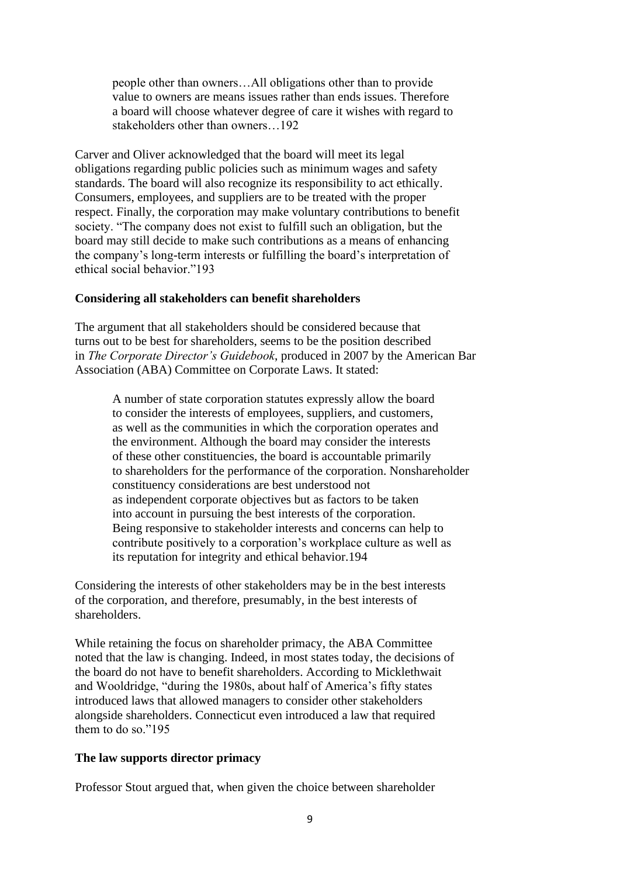people other than owners…All obligations other than to provide value to owners are means issues rather than ends issues. Therefore a board will choose whatever degree of care it wishes with regard to stakeholders other than owners…192

Carver and Oliver acknowledged that the board will meet its legal obligations regarding public policies such as minimum wages and safety standards. The board will also recognize its responsibility to act ethically. Consumers, employees, and suppliers are to be treated with the proper respect. Finally, the corporation may make voluntary contributions to benefit society. "The company does not exist to fulfill such an obligation, but the board may still decide to make such contributions as a means of enhancing the company's long-term interests or fulfilling the board's interpretation of ethical social behavior."193

#### **Considering all stakeholders can benefit shareholders**

The argument that all stakeholders should be considered because that turns out to be best for shareholders, seems to be the position described in *The Corporate Director's Guidebook*, produced in 2007 by the American Bar Association (ABA) Committee on Corporate Laws. It stated:

A number of state corporation statutes expressly allow the board to consider the interests of employees, suppliers, and customers, as well as the communities in which the corporation operates and the environment. Although the board may consider the interests of these other constituencies, the board is accountable primarily to shareholders for the performance of the corporation. Nonshareholder constituency considerations are best understood not as independent corporate objectives but as factors to be taken into account in pursuing the best interests of the corporation. Being responsive to stakeholder interests and concerns can help to contribute positively to a corporation's workplace culture as well as its reputation for integrity and ethical behavior.194

Considering the interests of other stakeholders may be in the best interests of the corporation, and therefore, presumably, in the best interests of shareholders.

While retaining the focus on shareholder primacy, the ABA Committee noted that the law is changing. Indeed, in most states today, the decisions of the board do not have to benefit shareholders. According to Micklethwait and Wooldridge, "during the 1980s, about half of America's fifty states introduced laws that allowed managers to consider other stakeholders alongside shareholders. Connecticut even introduced a law that required them to do so."195

#### **The law supports director primacy**

Professor Stout argued that, when given the choice between shareholder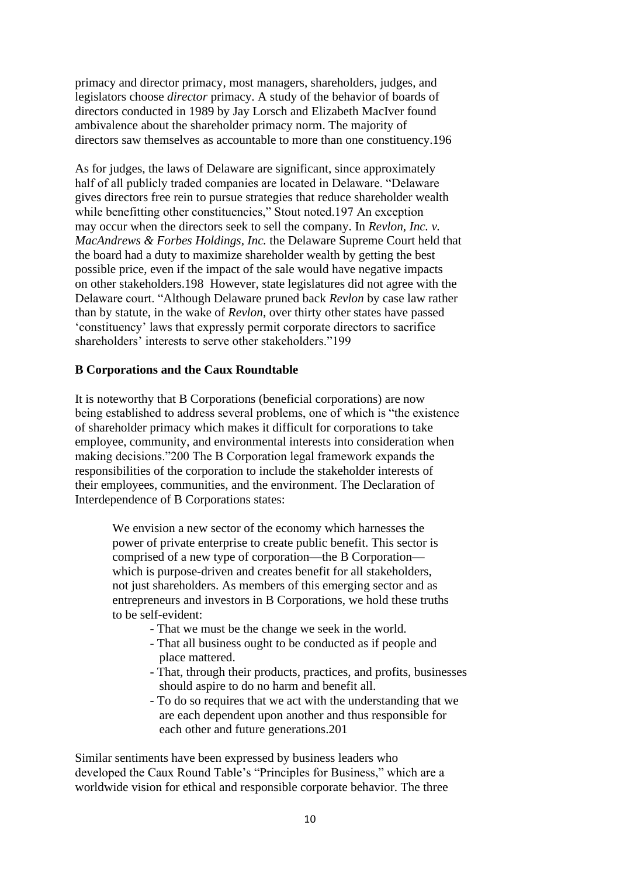primacy and director primacy, most managers, shareholders, judges, and legislators choose *director* primacy. A study of the behavior of boards of directors conducted in 1989 by Jay Lorsch and Elizabeth MacIver found ambivalence about the shareholder primacy norm. The majority of directors saw themselves as accountable to more than one constituency.196

As for judges, the laws of Delaware are significant, since approximately half of all publicly traded companies are located in Delaware. "Delaware gives directors free rein to pursue strategies that reduce shareholder wealth while benefitting other constituencies," Stout noted.197 An exception may occur when the directors seek to sell the company. In *Revlon, Inc. v. MacAndrews & Forbes Holdings, Inc.* the Delaware Supreme Court held that the board had a duty to maximize shareholder wealth by getting the best possible price, even if the impact of the sale would have negative impacts on other stakeholders.198 However, state legislatures did not agree with the Delaware court. "Although Delaware pruned back *Revlon* by case law rather than by statute, in the wake of *Revlon*, over thirty other states have passed 'constituency' laws that expressly permit corporate directors to sacrifice shareholders' interests to serve other stakeholders."199

## **B Corporations and the Caux Roundtable**

It is noteworthy that B Corporations (beneficial corporations) are now being established to address several problems, one of which is "the existence of shareholder primacy which makes it difficult for corporations to take employee, community, and environmental interests into consideration when making decisions."200 The B Corporation legal framework expands the responsibilities of the corporation to include the stakeholder interests of their employees, communities, and the environment. The Declaration of Interdependence of B Corporations states:

We envision a new sector of the economy which harnesses the power of private enterprise to create public benefit. This sector is comprised of a new type of corporation—the B Corporation which is purpose-driven and creates benefit for all stakeholders, not just shareholders. As members of this emerging sector and as entrepreneurs and investors in B Corporations, we hold these truths to be self-evident:

- That we must be the change we seek in the world.
- That all business ought to be conducted as if people and place mattered.
- That, through their products, practices, and profits, businesses should aspire to do no harm and benefit all.
- To do so requires that we act with the understanding that we are each dependent upon another and thus responsible for each other and future generations.201

Similar sentiments have been expressed by business leaders who developed the Caux Round Table's "Principles for Business," which are a worldwide vision for ethical and responsible corporate behavior. The three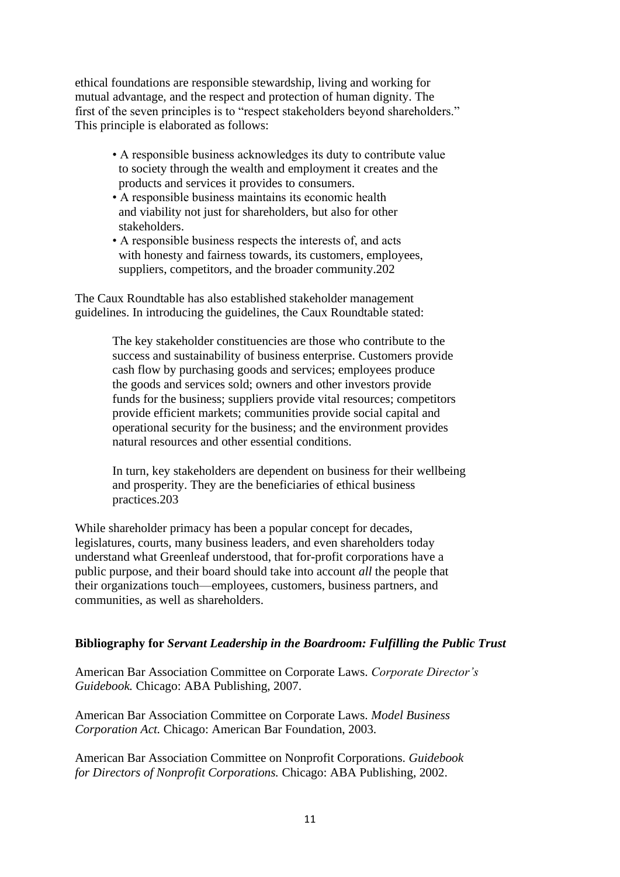ethical foundations are responsible stewardship, living and working for mutual advantage, and the respect and protection of human dignity. The first of the seven principles is to "respect stakeholders beyond shareholders." This principle is elaborated as follows:

- A responsible business acknowledges its duty to contribute value to society through the wealth and employment it creates and the products and services it provides to consumers.
- A responsible business maintains its economic health and viability not just for shareholders, but also for other stakeholders.
- A responsible business respects the interests of, and acts with honesty and fairness towards, its customers, employees, suppliers, competitors, and the broader community.202

The Caux Roundtable has also established stakeholder management guidelines. In introducing the guidelines, the Caux Roundtable stated:

> The key stakeholder constituencies are those who contribute to the success and sustainability of business enterprise. Customers provide cash flow by purchasing goods and services; employees produce the goods and services sold; owners and other investors provide funds for the business; suppliers provide vital resources; competitors provide efficient markets; communities provide social capital and operational security for the business; and the environment provides natural resources and other essential conditions.

In turn, key stakeholders are dependent on business for their wellbeing and prosperity. They are the beneficiaries of ethical business practices.203

While shareholder primacy has been a popular concept for decades, legislatures, courts, many business leaders, and even shareholders today understand what Greenleaf understood, that for-profit corporations have a public purpose, and their board should take into account *all* the people that their organizations touch—employees, customers, business partners, and communities, as well as shareholders.

# **Bibliography for** *Servant Leadership in the Boardroom: Fulfilling the Public Trust*

American Bar Association Committee on Corporate Laws. *Corporate Director's Guidebook.* Chicago: ABA Publishing, 2007.

American Bar Association Committee on Corporate Laws. *Model Business Corporation Act.* Chicago: American Bar Foundation, 2003.

American Bar Association Committee on Nonprofit Corporations. *Guidebook for Directors of Nonprofit Corporations.* Chicago: ABA Publishing, 2002.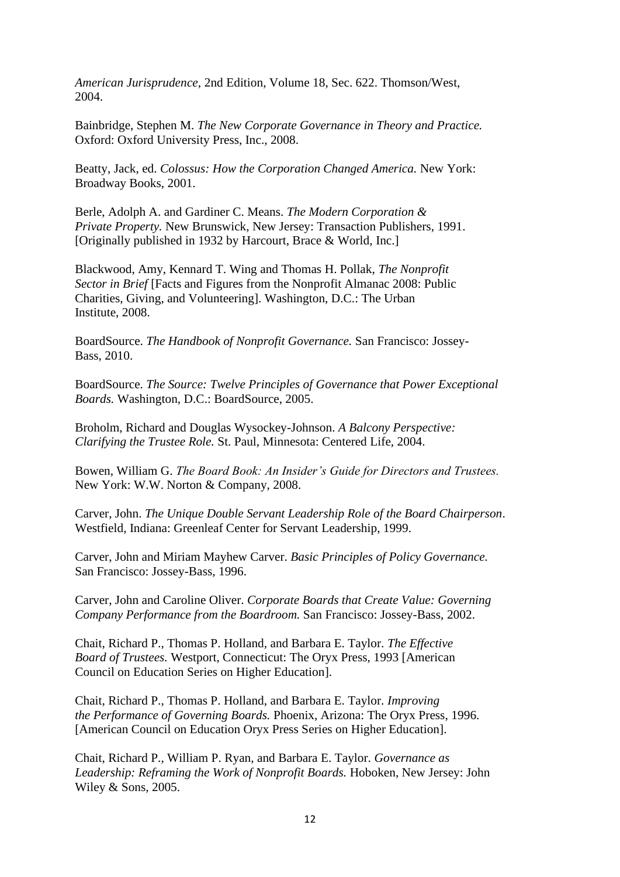*American Jurisprudence,* 2nd Edition, Volume 18, Sec. 622. Thomson/West, 2004.

Bainbridge, Stephen M. *The New Corporate Governance in Theory and Practice.* Oxford: Oxford University Press, Inc., 2008.

Beatty, Jack, ed. *Colossus: How the Corporation Changed America.* New York: Broadway Books, 2001.

Berle, Adolph A. and Gardiner C. Means. *The Modern Corporation & Private Property.* New Brunswick, New Jersey: Transaction Publishers, 1991. [Originally published in 1932 by Harcourt, Brace & World, Inc.]

Blackwood, Amy, Kennard T. Wing and Thomas H. Pollak, *The Nonprofit Sector in Brief* [Facts and Figures from the Nonprofit Almanac 2008: Public Charities, Giving, and Volunteering]. Washington, D.C.: The Urban Institute, 2008.

BoardSource. *The Handbook of Nonprofit Governance.* San Francisco: Jossey-Bass, 2010.

BoardSource. *The Source: Twelve Principles of Governance that Power Exceptional Boards.* Washington, D.C.: BoardSource, 2005.

Broholm, Richard and Douglas Wysockey-Johnson. *A Balcony Perspective: Clarifying the Trustee Role.* St. Paul, Minnesota: Centered Life, 2004.

Bowen, William G. *The Board Book: An Insider's Guide for Directors and Trustees.* New York: W.W. Norton & Company, 2008.

Carver, John. *The Unique Double Servant Leadership Role of the Board Chairperson*. Westfield, Indiana: Greenleaf Center for Servant Leadership, 1999.

Carver, John and Miriam Mayhew Carver. *Basic Principles of Policy Governance.* San Francisco: Jossey-Bass, 1996.

Carver, John and Caroline Oliver. *Corporate Boards that Create Value: Governing Company Performance from the Boardroom.* San Francisco: Jossey-Bass, 2002.

Chait, Richard P., Thomas P. Holland, and Barbara E. Taylor. *The Effective Board of Trustees.* Westport, Connecticut: The Oryx Press, 1993 [American Council on Education Series on Higher Education].

Chait, Richard P., Thomas P. Holland, and Barbara E. Taylor. *Improving the Performance of Governing Boards.* Phoenix, Arizona: The Oryx Press, 1996. [American Council on Education Oryx Press Series on Higher Education].

Chait, Richard P., William P. Ryan, and Barbara E. Taylor. *Governance as Leadership: Reframing the Work of Nonprofit Boards.* Hoboken, New Jersey: John Wiley & Sons, 2005.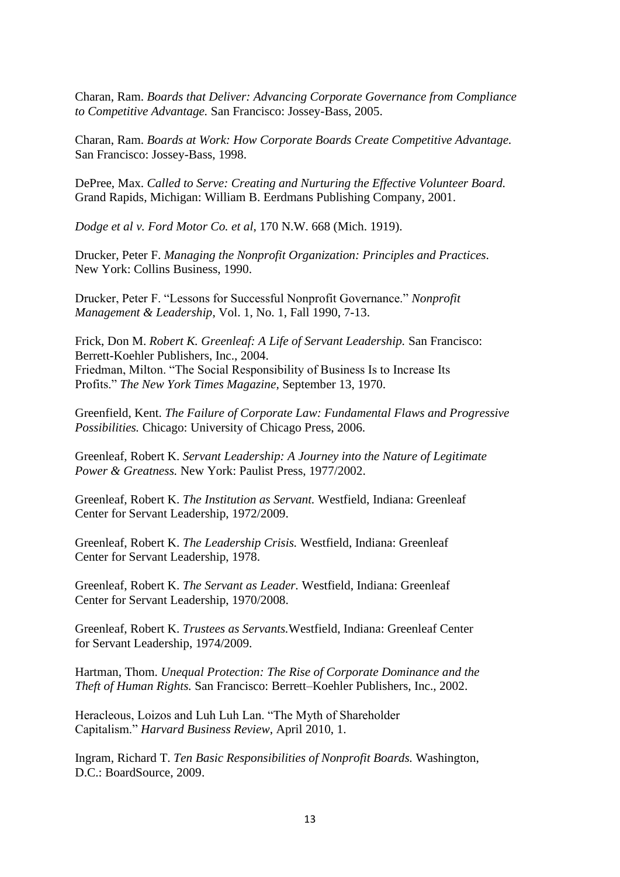Charan, Ram. *Boards that Deliver: Advancing Corporate Governance from Compliance to Competitive Advantage.* San Francisco: Jossey-Bass, 2005.

Charan, Ram. *Boards at Work: How Corporate Boards Create Competitive Advantage.* San Francisco: Jossey-Bass, 1998.

DePree, Max. *Called to Serve: Creating and Nurturing the Effective Volunteer Board.* Grand Rapids, Michigan: William B. Eerdmans Publishing Company, 2001.

*Dodge et al v. Ford Motor Co. et al*, 170 N.W. 668 (Mich. 1919).

Drucker, Peter F. *Managing the Nonprofit Organization: Principles and Practices.* New York: Collins Business, 1990.

Drucker, Peter F. "Lessons for Successful Nonprofit Governance." *Nonprofit Management & Leadership*, Vol. 1, No. 1, Fall 1990, 7-13.

Frick, Don M. *Robert K. Greenleaf: A Life of Servant Leadership.* San Francisco: Berrett-Koehler Publishers, Inc., 2004. Friedman, Milton. "The Social Responsibility of Business Is to Increase Its Profits." *The New York Times Magazine,* September 13, 1970.

Greenfield, Kent. *The Failure of Corporate Law: Fundamental Flaws and Progressive Possibilities.* Chicago: University of Chicago Press, 2006.

Greenleaf, Robert K. *Servant Leadership: A Journey into the Nature of Legitimate Power & Greatness.* New York: Paulist Press, 1977/2002.

Greenleaf, Robert K. *The Institution as Servant.* Westfield, Indiana: Greenleaf Center for Servant Leadership, 1972/2009.

Greenleaf, Robert K. *The Leadership Crisis.* Westfield, Indiana: Greenleaf Center for Servant Leadership, 1978.

Greenleaf, Robert K. *The Servant as Leader.* Westfield, Indiana: Greenleaf Center for Servant Leadership, 1970/2008.

Greenleaf, Robert K. *Trustees as Servants.*Westfield, Indiana: Greenleaf Center for Servant Leadership, 1974/2009.

Hartman, Thom. *Unequal Protection: The Rise of Corporate Dominance and the Theft of Human Rights.* San Francisco: Berrett–Koehler Publishers, Inc., 2002.

Heracleous, Loizos and Luh Luh Lan. "The Myth of Shareholder Capitalism." *Harvard Business Review*, April 2010, 1.

Ingram, Richard T. *Ten Basic Responsibilities of Nonprofit Boards.* Washington, D.C.: BoardSource, 2009.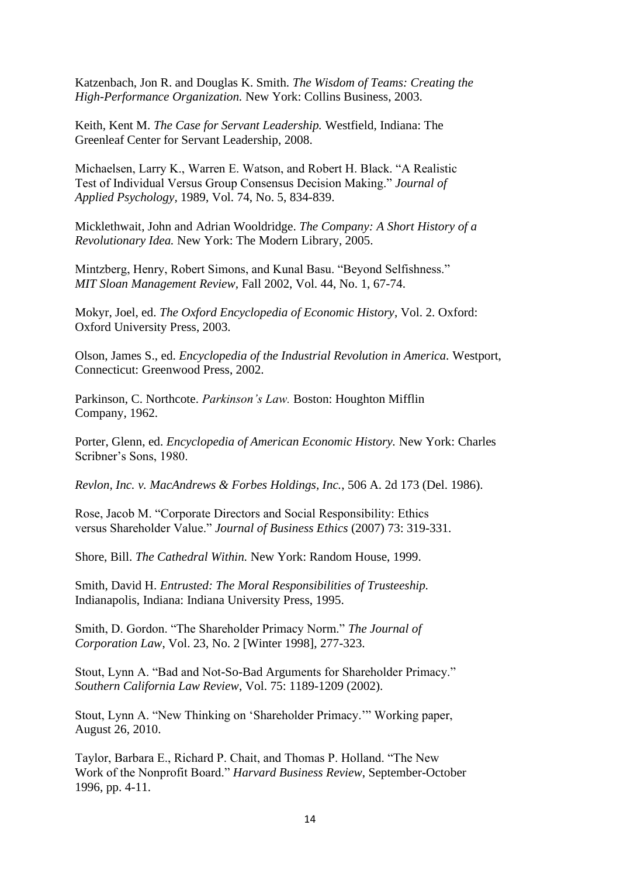Katzenbach, Jon R. and Douglas K. Smith. *The Wisdom of Teams: Creating the High-Performance Organization.* New York: Collins Business, 2003.

Keith, Kent M. *The Case for Servant Leadership.* Westfield, Indiana: The Greenleaf Center for Servant Leadership, 2008.

Michaelsen, Larry K., Warren E. Watson, and Robert H. Black. "A Realistic Test of Individual Versus Group Consensus Decision Making." *Journal of Applied Psychology,* 1989, Vol. 74, No. 5, 834-839.

Micklethwait, John and Adrian Wooldridge. *The Company: A Short History of a Revolutionary Idea.* New York: The Modern Library, 2005.

Mintzberg, Henry, Robert Simons, and Kunal Basu. "Beyond Selfishness." *MIT Sloan Management Review,* Fall 2002, Vol. 44, No. 1, 67-74.

Mokyr, Joel, ed. *The Oxford Encyclopedia of Economic History*, Vol. 2. Oxford: Oxford University Press, 2003.

Olson, James S., ed. *Encyclopedia of the Industrial Revolution in America.* Westport, Connecticut: Greenwood Press, 2002.

Parkinson, C. Northcote. *Parkinson's Law.* Boston: Houghton Mifflin Company, 1962.

Porter, Glenn, ed. *Encyclopedia of American Economic History.* New York: Charles Scribner's Sons, 1980.

*Revlon, Inc. v. MacAndrews & Forbes Holdings, Inc.*, 506 A. 2d 173 (Del. 1986).

Rose, Jacob M. "Corporate Directors and Social Responsibility: Ethics versus Shareholder Value." *Journal of Business Ethics* (2007) 73: 319-331.

Shore, Bill. *The Cathedral Within.* New York: Random House, 1999.

Smith, David H. *Entrusted: The Moral Responsibilities of Trusteeship.* Indianapolis, Indiana: Indiana University Press, 1995.

Smith, D. Gordon. "The Shareholder Primacy Norm." *The Journal of Corporation Law*, Vol. 23, No. 2 [Winter 1998], 277-323.

Stout, Lynn A. "Bad and Not-So-Bad Arguments for Shareholder Primacy." *Southern California Law Review*, Vol. 75: 1189-1209 (2002).

Stout, Lynn A. "New Thinking on 'Shareholder Primacy.'" Working paper, August 26, 2010.

Taylor, Barbara E., Richard P. Chait, and Thomas P. Holland. "The New Work of the Nonprofit Board." *Harvard Business Review*, September-October 1996, pp. 4-11.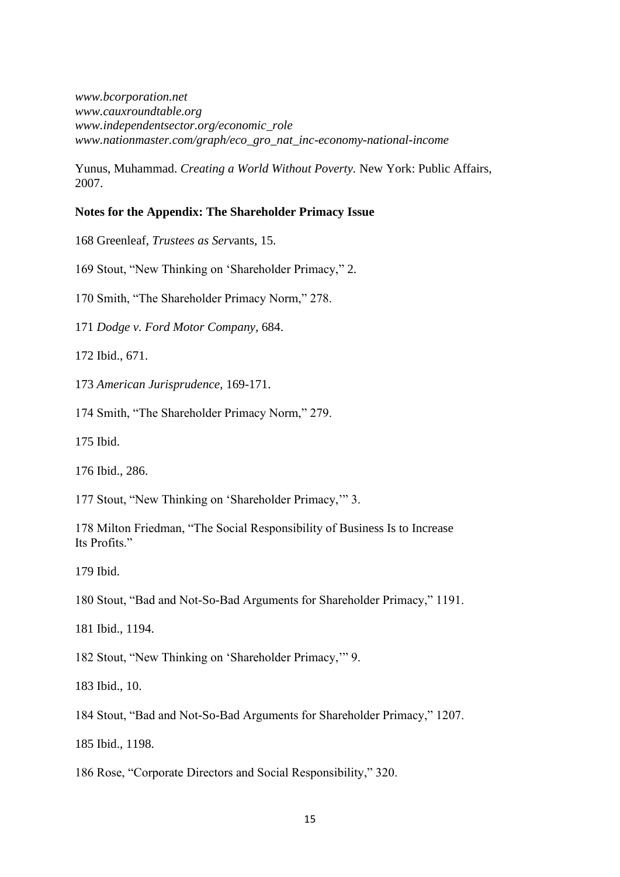*www.bcorporation.net www.cauxroundtable.org www.independentsector.org/economic\_role www.nationmaster.com/graph/eco\_gro\_nat\_inc-economy-national-income*

Yunus, Muhammad. *Creating a World Without Poverty.* New York: Public Affairs, 2007.

## **Notes for the Appendix: The Shareholder Primacy Issue**

168 Greenleaf, *Trustees as Serv*ants, 15.

169 Stout, "New Thinking on 'Shareholder Primacy," 2.

170 Smith, "The Shareholder Primacy Norm," 278.

171 *Dodge v. Ford Motor Company*, 684.

172 Ibid., 671.

173 *American Jurisprudence*, 169-171.

174 Smith, "The Shareholder Primacy Norm," 279.

175 Ibid.

176 Ibid., 286.

177 Stout, "New Thinking on 'Shareholder Primacy,'" 3.

178 Milton Friedman, "The Social Responsibility of Business Is to Increase Its Profits."

179 Ibid.

180 Stout, "Bad and Not-So-Bad Arguments for Shareholder Primacy," 1191.

181 Ibid., 1194.

182 Stout, "New Thinking on 'Shareholder Primacy,'" 9.

183 Ibid., 10.

184 Stout, "Bad and Not-So-Bad Arguments for Shareholder Primacy," 1207.

185 Ibid., 1198.

186 Rose, "Corporate Directors and Social Responsibility," 320.